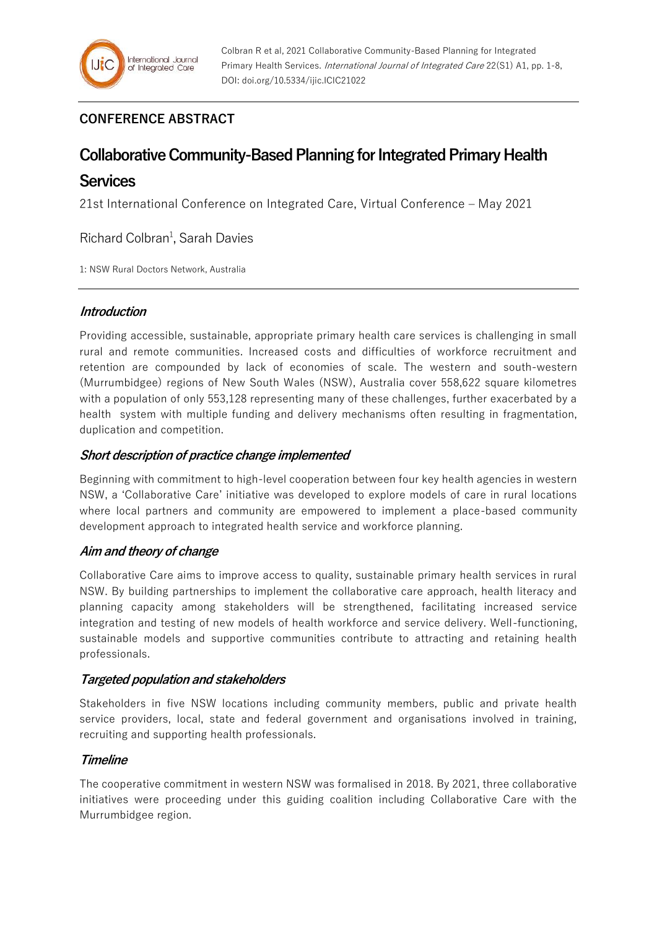# **CONFERENCE ABSTRACT**

# **Collaborative Community-Based Planning for Integrated Primary Health**

# **Services**

21st International Conference on Integrated Care, Virtual Conference – May 2021

Richard Colbran<sup>1</sup>, Sarah Davies

1: NSW Rural Doctors Network, Australia

# **Introduction**

Providing accessible, sustainable, appropriate primary health care services is challenging in small rural and remote communities. Increased costs and difficulties of workforce recruitment and retention are compounded by lack of economies of scale. The western and south-western (Murrumbidgee) regions of New South Wales (NSW), Australia cover 558,622 square kilometres with a population of only 553,128 representing many of these challenges, further exacerbated by a health system with multiple funding and delivery mechanisms often resulting in fragmentation, duplication and competition.

# **Short description of practice change implemented**

Beginning with commitment to high-level cooperation between four key health agencies in western NSW, a 'Collaborative Care' initiative was developed to explore models of care in rural locations where local partners and community are empowered to implement a place-based community development approach to integrated health service and workforce planning.

# **Aim and theory of change**

Collaborative Care aims to improve access to quality, sustainable primary health services in rural NSW. By building partnerships to implement the collaborative care approach, health literacy and planning capacity among stakeholders will be strengthened, facilitating increased service integration and testing of new models of health workforce and service delivery. Well-functioning, sustainable models and supportive communities contribute to attracting and retaining health professionals.

# **Targeted population and stakeholders**

Stakeholders in five NSW locations including community members, public and private health service providers, local, state and federal government and organisations involved in training, recruiting and supporting health professionals.

# **Timeline**

The cooperative commitment in western NSW was formalised in 2018. By 2021, three collaborative initiatives were proceeding under this guiding coalition including Collaborative Care with the Murrumbidgee region.